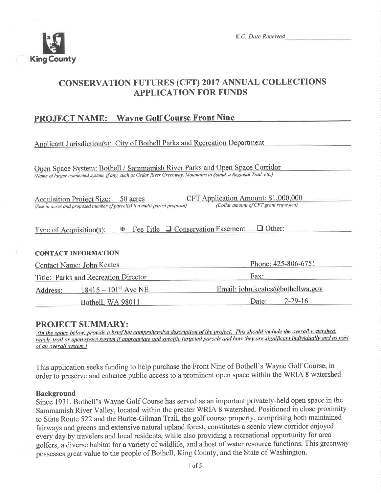

# **CONSERVATION FUTURES (CFT) 2017 ANNUAL COLLECTIONS APPLICATION FOR FUNDS**

## **PROJECT NAME:** Wayne Golf Course Front Nine

Applicant Jurisdiction(s): City of Bothell Parks and Recreation Department

Open Space System: Bothell / Sammamish River Parks and Open Space Corridor (Name of larger connected system, if any, such as Cedar River Greenway, Mountains to Sound, a Regional Trail, etc.)

| Acquisition Project Size: 50 acres                                          | CFT Application Amount: \$1,000,000    |
|-----------------------------------------------------------------------------|----------------------------------------|
| (Size in acres and proposed number of parcel(s) if a multi-parcel proposal) | (Dollar amount of CFT grant requested) |

| Type of Acquisition $(s)$ : | $\mathbb{R}$ Fee Title $\Box$ Conservation Easement $\Box$ Other: |  |
|-----------------------------|-------------------------------------------------------------------|--|
|-----------------------------|-------------------------------------------------------------------|--|

## **CONTACT INFORMATION**

|          | Phone: 425-806-6751<br><b>Contact Name: John Keates</b> |                                  |
|----------|---------------------------------------------------------|----------------------------------|
|          | Title: Parks and Recreation Director                    | Fax:                             |
| Address: | $18415 - 101$ <sup>st</sup> Ave NE                      | Email: john.keates@bothellwa.gov |
|          | Bothell, WA 98011                                       | $2 - 29 - 16$<br>Date:           |

## **PROJECT SUMMARY:**

(In the space below, provide a brief but comprehensive description of the project. This should include the overall watershed, reach, trail or open space system if appropriate and specific targeted parcels and how they are significant individually and as part of an overall system.)

This application seeks funding to help purchase the Front Nine of Bothell's Wayne Golf Course, in order to preserve and enhance public access to a prominent open space within the WRIA 8 watershed.

## **Background**

Since 1931, Bothell's Wayne Golf Course has served as an important privately-held open space in the Sammamish River Valley, located within the greater WRIA 8 watershed. Positioned in close proximity to State Route 522 and the Burke-Gilman Trail, the golf course property, comprising both maintained fairways and greens and extensive natural upland forest, constitutes a scenic view corridor enjoyed every day by travelers and local residents, while also providing a recreational opportunity for area golfers, a diverse habitat for a variety of wildlife, and a host of water resource functions. This greenway possesses great value to the people of Bothell, King County, and the State of Washington.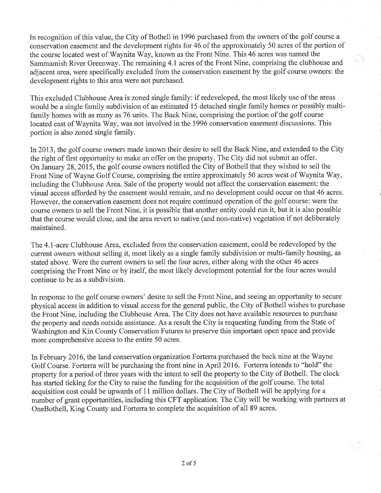In recognition of this value, the City of Bothell in 1996 purchased from the owners of the golf course a conservation easement and the development rights for 46 of the approximately 50 acres of the portion of the course located west of Waynita Way, known as the Front Nine. This 46 acres was named the Sammamish River Greenway. The remaining 4.1 acres of the Front Nine, comprising the clubhouse and adjacent area, were specifically excluded from the conservation easement by the golf course owners: the development rights to this area were not purchased.

This excluded Clubhouse Area is zoned single family: if redeveloped, the most likely use of the areas would be a single family subdivision of an estimated 15 detached single family homes or possibly multifamily homes with as many as 76 units. The Back Nine, comprising the portion of the golf course located east of Waynita Way, was not involved in the 1996 conservation easement discussions. This portion is also zoned single family.

In 2013, the golf course owners made known their desire to sell the Back Nine, and extended to the City the right of first opportunity to make an offer on the property. The City did not submit an offer. On January 28, 2015, the golf course owners notified the City of Bothell that they wished to sell the Front Nine of Wayne Golf Course, comprising the entire approximately 50 acres west of Waynita Way, including the Clubhouse Area. Sale of the property would not affect the conservation easement: the visual access afforded by the easement would remain, and no development could occur on that 46 acres. However, the conservation easement does not require continued operation of the golf course: were the coutse owners to sell the Front Nine, it is possible that another entity could run it, but it is also possible that the course would close, and the area revert to native (and non-native) vegetation if not deliberately maintained.

The 4.1-acre Clubhouse Area, excluded from the conservation easement, could be redeveloped by the current owners without selling it, most likely as a single family subdivision or multi-family housing, as stated above. 'Were the current owners to sell the four acres, either along with the other 46 acres comprising the Front Nine or by itself, the most likely development potential for the four acres would continue to be as a subdivision.

In response to the golf course owners' desire to sell the Front Nine, and seeing an opportunity to secure physical access in addition to visual access for the general public, the City of Bothell wishes to purchase the Front Nine, including the Clubhouse Area. The City does not have available resources to purchase the property and needs outside assistance. As a result the City is requesting funding from the State of Washington and Kin County Conservation Futures to preserve this important open space and provide more comprehensive access to the entire 50 acres.

In February 2016, the land conservation organization Forterra purchased the back nine at the Wayne Golf Course. Forterra will be purchasing the front nine in April 2016. Forterra intends to "hold" the property for a period of three years with the intent to sell the property to the City of Bothell. The clock has started ticking for the City to raise the funding for the acquisition of the golf course. The total acquisition cost could be upwards of 11 million dollars. The City of Bothell will be applying for <sup>a</sup> number of grant opportunities, including this CFT application. The City will be working with partners at OneBothell, King County and Forterra to complete the acquisition of all 89 acres.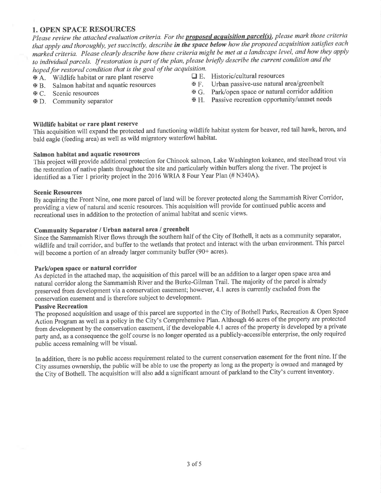### **1. OPEN SPACE RESOURCES**

Please review the attached evaluation criteria. For the **proposed acquisition parcel(s)**, please mark those criteria that apply and thoroughly, yet succinctly, describe in the space below how the proposed acquisition satisfies each marked criteria. Please clearly describe how these criteria might be met at a landscape level, and how they apply to individual parcels. If restoration is part of the plan, please briefly describe the current condition and the hoped for restored condition that is the goal of the acquisition.

- **EXA.** Wildlife habitat or rare plant reserve
- **EXECUTE:** Salmon habitat and aquatic resources
- **E C.** Scenic resources
- $\Phi$  D. Community separator
- $\Box$  E. Historic/cultural resources
- Urban passive-use natural area/greenbelt  $E$ F.
- $\mathbb{F}$  **G.** Park/open space or natural corridor addition
- **H.** Passive recreation opportunity/unmet needs

#### Wildlife habitat or rare plant reserve

This acquisition will expand the protected and functioning wildlife habitat system for beaver, red tail hawk, heron, and bald eagle (feeding area) as well as wild migratory waterfowl habitat.

#### Salmon habitat and aquatic resources

This project will provide additional protection for Chinook salmon, Lake Washington kokanee, and steelhead trout via the restoration of native plants throughout the site and particularly within buffers along the river. The project is identified as a Tier 1 priority project in the 2016 WRIA 8 Four Year Plan (# N340A).

#### **Scenic Resources**

By acquiring the Front Nine, one more parcel of land will be forever protected along the Sammamish River Corridor, providing a view of natural and scenic resources. This acquisition will provide for continued public access and recreational uses in addition to the protection of animal habitat and scenic views.

## Community Separator / Urban natural area / greenbelt

Since the Sammamish River flows through the southern half of the City of Bothell, it acts as a community separator, wildlife and trail corridor, and buffer to the wetlands that protect and interact with the urban environment. This parcel will become a portion of an already larger community buffer (90+ acres).

#### Park/open space or natural corridor

As depicted in the attached map, the acquisition of this parcel will be an addition to a larger open space area and natural corridor along the Sammamish River and the Burke-Gilman Trail. The majority of the parcel is already preserved from development via a conservation easement; however, 4.1 acres is currently excluded from the conservation easement and is therefore subject to development.

#### **Passive Recreation**

The proposed acquisition and usage of this parcel are supported in the City of Bothell Parks, Recreation & Open Space Action Program as well as a policy in the City's Comprehensive Plan. Although 46 acres of the property are protected from development by the conservation easement, if the developable 4.1 acres of the property is developed by a private party and, as a consequence the golf course is no longer operated as a publicly-accessible enterprise, the only required public access remaining will be visual.

In addition, there is no public access requirement related to the current conservation easement for the front nine. If the City assumes ownership, the public will be able to use the property as long as the property is owned and managed by the City of Bothell. The acquisition will also add a significant amount of parkland to the City's current inventory.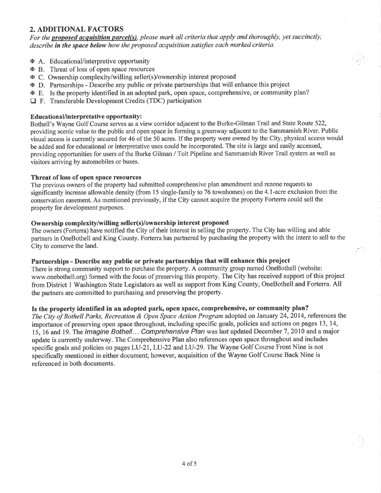## 2. ADDITIONAL FACTORS

For the proposed acquisition parcel(s), please mark all criteria that apply and thoroughly, yet succinctly, describe in the space below how the proposed acquisition satisfies each marked criteria.

i ay i

- **A.** Educational/interpretive opportunity
- xB. Threat ofloss ofopen space resources
- xc. Ownership complexity/willing seller(s)/ownership interest proposed
- **EX D.** Partnerships Describe any public or private partnerships that will enhance this project
- E. Is the property identified in an adopted park, open space, comprehensive, or community plan?
- $\Box$  F. Transferable Development Credits (TDC) participation

#### EducationaVinterpretative opportunity:

Bothell's Wayne Golf Course serves as a view conidor adjacent to the Burke-Gilman Trail and State Route 522, providing scenic value to the public and open space in forming a greenway adjacent to the Sammamish River. Public visual access is currently secured for 46 of the 50 acres. If the properfy were owned by the City, physical access would be added and for educational or interpretative uses could be incorporated. The site is large and easily accessed, providing opportunities for users of the Burke Gilman / Tolt Pipeline and Sammamish River Trail system as well as visitors arriving by automobiles or buses.

#### Threat of loss of open space resources

The previous owners of the property had submitted comprehensive plan amendment and rezone requests to significantly increase allowable density (from 15 single-family to 76 townhomes) on the 4.1-acre exclusion from the conservation easement. As mentioned previously, if the City cannot acquire the property Forterra could sell the property for development purposes.

#### Ownership complexity/willing seller(s)/ownership interest proposed

The owners (Forterra) have notified the City of their interest in selling the property. The City has willing and able partners in OneBothell and King County. Forterra has partnered by purchasing the property with the intent to sell to the City to conserve the land.

#### Partnerships - Describe any public or private partnerships that will enhance this project

There is strong community support to purchase the property. A community group named OneBothell (website: www.onebothell.org) formed with the focus of preserving this property. The City has received support of this project from District 1 Washington State Legislators as well as support from King County, OneBothell and Forterra. All the partners are committed to purchasing and preserving the properly.

#### Is the property identified in an adopted park, open space, comprehensive, or community plan?

The City of Bothell Parks, Recreation & Open Space Action Program adopted on January 24, 2014, references the importance of preserving open space throughout, including specific goals, policies and actions on pages 13,14, 15, 16 and 19. The Imagine Bothell... Comprehensive Plan was last updated December 7, 2010 and a major update is currently underway. The Comprehensive Plan also references open space throughout and includes specific goals and policies on pages LU-21, LU-22 and LU-29. The Wayne Golf Course Front Nine is not specifically mentioned in either document; however, acquisition of the Wayne Golf Course Back Nine is referenced in both documents.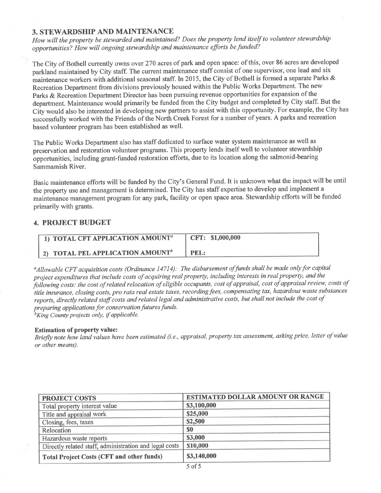## 3. STEWARDSHIP AND MAINTENANCE

How will the property be stewarded and maintained? Does the property lend itself to volunteer stewardship opportunities? How will ongoing stewardship and maintenance efforts befunded?

The City of Bothell currently owns over 270 acres of park and open space: of this, over 86 acres are developed parkland maintained by City staff. The current maintenance staff consist of one supervisor, one lead and six maintenance workers with additional seasonal staff. In 2015, the City of Bothell is formed a separate Parks & Recreation Department from divisions previously housed within the Public Works Department. The new Parks & Recreation Department Director has been pursuing revenue opportunities for expansion of the department. Maintenance would primarily be funded from the City budget and completed by City staff. But the Ciiy would also be interested in developing new partners to assist with this opportunity. For example, the City has successfully worked with the Friends of the North Creek Forest for a number of years. A parks and recreation based volunteer program has been established as well.

The Public Works Department also has staff dedicated to surface water system maintenance as well as preservation and restoration volunteer programs. This property lends itself well to volunteer stewardship õpportunities, including grant-funded restoration efforts, due to its location along the salmonid-bearing Sammamish River.

Basic maintenance efforfs will be funded by the City's General Fund. It is unknown what the impact will be until the property use and management is determined. The City has staff expertise to develop and implement a maintenance management program for any park, facility or open space area. Stewardship efforts will be funded primarily with grants.

## 4. PROJECT BUDGET

| $\Box$ TOTAL CFT APPLICATION AMOUNT <sup>a</sup> | CFT: \$1,000,000 |
|--------------------------------------------------|------------------|
| $\parallel$ 2) TOTAL PEL APPLICATION AMOUNT $^b$ | PEL:             |

<sup>a</sup>Allowable CFT acquisition costs (Ordinance 14714): The disbursement of funds shall be made only for capital project expenditures that include costs of acquiring real property, including interests in real property, and the project expenditures that include costs of dequiring real property, mending there is to real property, the cost<br>following costs: the cost of related relocation of eligible occupants, cost of appraisal, cost of appraisal re title insurance, closing costs, pro rata real estate taxes, recording fees, compensating tax, hazardous waste substances reports, directly related staff costs and related legal and administrative costs, but shall not include the cost of preparing applications for conservation futures funds.  $^{b}$ King County projects only, if applicable.

Estimation of property value:

Briefly note how land values have been estimated (i.e., appraisal, property tax assessment, asking price, letter of value or other means).

| <b>PROJECT COSTS</b>                                   | <b>ESTIMATED DOLLAR AMOUNT OR RANGE</b> |
|--------------------------------------------------------|-----------------------------------------|
| Total property interest value                          | \$3,100,000                             |
| Title and appraisal work                               | \$25,000                                |
| Closing, fees, taxes                                   | \$2,500                                 |
| Relocation                                             | \$0                                     |
| Hazardous waste reports                                | \$3,000                                 |
| Directly related staff, administration and legal costs | \$10,000                                |
| <b>Total Project Costs (CFT and other funds)</b>       | \$3,140,000                             |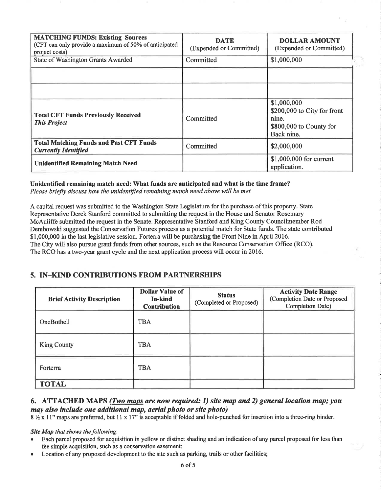| <b>MATCHING FUNDS: Existing Sources</b><br>(CFT can only provide a maximum of 50% of anticipated<br>project costs) | <b>DATE</b><br>(Expended or Committed) | <b>DOLLAR AMOUNT</b><br>(Expended or Committed)                                              |
|--------------------------------------------------------------------------------------------------------------------|----------------------------------------|----------------------------------------------------------------------------------------------|
| State of Washington Grants Awarded                                                                                 | Committed                              | \$1,000,000                                                                                  |
|                                                                                                                    |                                        |                                                                                              |
| <b>Total CFT Funds Previously Received</b><br><b>This Project</b>                                                  | Committed                              | \$1,000,000<br>\$200,000 to City for front<br>nine.<br>\$800,000 to County for<br>Back nine. |
| <b>Total Matching Funds and Past CFT Funds</b><br><b>Currently Identified</b>                                      | Committed                              | \$2,000,000                                                                                  |
| <b>Unidentified Remaining Match Need</b>                                                                           |                                        | \$1,000,000 for current<br>application.                                                      |

## Unidentified remaining match need: What funds are anticipated and what is the time frame?

Please briefly discuss how the unidentified remaining match need above will be met.

A capital request was submitted to the Washington State Legislature for the purchase of this propefy. State Representative Derek Stanford committed to submitting the request in the House and Senator Rosemary McAuliffe submitted the request in the Senate. Representative Stanford and King County Councilmember Rod Dembowski suggested the Conservation Futures process as a potential match for State funds. The state contributed \$1,000,000 in the last legislative session. Forterra will be purchasing the Front Nine in April 2016. The City will also pursue grant funds from other sources, such as the Resource Conservation Office (RCO). The RCO has a two-year grant cycle and the next application process will occur in 2016.

## 5. IN-KIND CONTRIBUTIONS FROM PARTNERSHIPS

| <b>Brief Activity Description</b> | <b>Dollar Value of</b><br>In-kind<br><b>Contribution</b> | <b>Status</b><br>(Completed or Proposed) | <b>Activity Date Range</b><br>(Completion Date or Proposed<br><b>Completion Date)</b> |
|-----------------------------------|----------------------------------------------------------|------------------------------------------|---------------------------------------------------------------------------------------|
| OneBothell                        | <b>TBA</b>                                               |                                          |                                                                                       |
| <b>King County</b>                | <b>TBA</b>                                               |                                          |                                                                                       |
| Forterra                          | <b>TBA</b>                                               |                                          |                                                                                       |
| <b>TOTAL</b>                      |                                                          |                                          |                                                                                       |

## 6. ATTACHED MAPS (*Two maps are now required: 1) site map and 2) general location map; you* may also include one additional map, aerial photo or site photo)

8 % x 11" maps are preferred, but 11 x 17" is acceptable if folded and hole-punched for insertion into a three-ring binder.

#### Site Map that shows the following:

- Each parcel proposed for acquisition in yellow or distinct shading and an indication of any parcel proposed for less than fee simple acquisition, such as a conservation easement;
- Location of any proposed development to the site such as parking, trails or other facilities;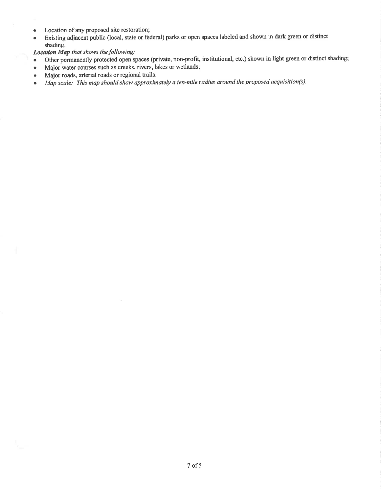- Location of any proposed site restoration;
- o Existing adjacent public (local, state or federal) parks or open spaces labeled and shown in dark green or distinct shading.

Location Map that shows the following:

- o Other permanently protected open spaces (private, non-profit, institutional, etc.) shown in light green or distinct shading;
- o Major water courses such as creeks, rivers, lakes or wetlands;
- Major roads, arterial roads or regional trails.
- . Map scale: This map should show approximately a ten-mile radius around the proposed acquisition(s).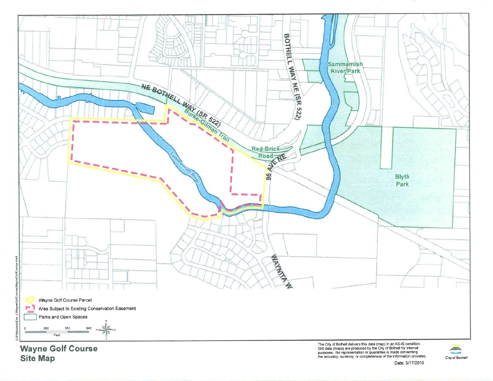

**Site Map** 

The City of Bothell delivers this data (map) in an AS-IS condition.<br>GIS data (maps) are produced by the City of Bothell for internal<br>purposes. No representation or guarantee is made concerning<br>the accuracy, currency, or co

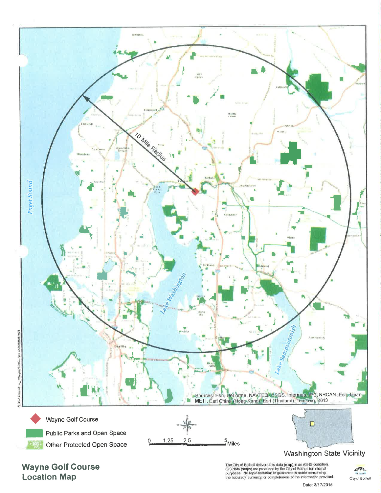

**Wayne Golf Course Location Map** 

The City of Bothell delivers this data (map) in an AS-IS condition.<br>GIS data (maps) are produced by the City of Bothell for internal<br>purposes. No representation or guarantee is made concerning<br>the accuracy, currency, or co

Date: 3/17/2015

**CIDA** Clay of Bothell